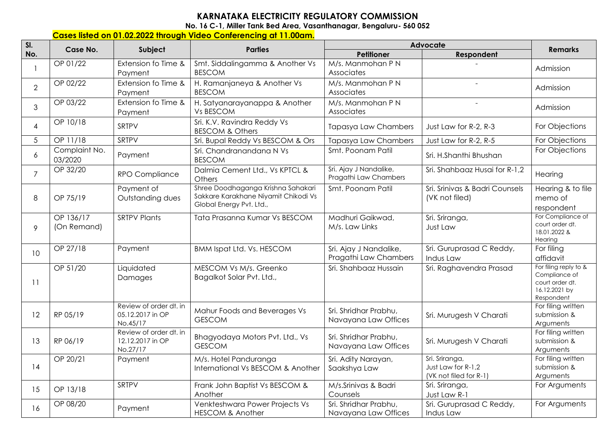## **KARNATAKA ELECTRICITY REGULATORY COMMISSION**

**No. 16 C-1, Miller Tank Bed Area, Vasanthanagar, Bengaluru- 560 052** 

## **Cases listed on 01.02.2022 through Video Conferencing at 11.00am.**

| SI.            | Case No.                 | Subject                                                | <b>Parties</b>                                                                                         | Advocate                                        | <b>Remarks</b>                                                 |                                                                                          |
|----------------|--------------------------|--------------------------------------------------------|--------------------------------------------------------------------------------------------------------|-------------------------------------------------|----------------------------------------------------------------|------------------------------------------------------------------------------------------|
| No.            |                          |                                                        |                                                                                                        | Petitioner                                      | Respondent                                                     |                                                                                          |
|                | OP 01/22                 | Extension fo Time &<br>Payment                         | Smt. Siddalingamma & Another Vs<br><b>BESCOM</b>                                                       | M/s. Manmohan P N<br>Associates                 |                                                                | Admission                                                                                |
| $\overline{2}$ | OP 02/22                 | Extension fo Time &<br>Payment                         | H. Ramanjaneya & Another Vs<br><b>BESCOM</b>                                                           | M/s. Manmohan P N<br>Associates                 | $\overline{a}$                                                 | Admission                                                                                |
| 3              | OP 03/22                 | Extension fo Time &<br>Payment                         | H. Satyanarayanappa & Another<br>Vs BESCOM                                                             | M/s. Manmohan P N<br>Associates                 | $\sim$                                                         | Admission                                                                                |
| $\overline{4}$ | OP 10/18                 | SRTPV                                                  | Sri. K.V. Ravindra Reddy Vs<br><b>BESCOM &amp; Others</b>                                              | <b>Tapasya Law Chambers</b>                     | Just Law for R-2, R-3                                          | For Objections                                                                           |
| 5              | OP 11/18                 | <b>SRTPV</b>                                           | Sri. Bupal Reddy Vs BESCOM & Ors                                                                       | <b>Tapasya Law Chambers</b>                     | Just Law for R-2, R-5                                          | For Objections                                                                           |
| 6              | Complaint No.<br>03/2020 | Payment                                                | Sri. Chandranandana N Vs<br><b>BESCOM</b>                                                              | Smt. Poonam Patil                               | Sri. H.Shanthi Bhushan                                         | For Objections                                                                           |
| $\overline{7}$ | OP 32/20                 | RPO Compliance                                         | Dalmia Cement Ltd., Vs KPTCL &<br>Others                                                               | Sri. Ajay J Nandalike,<br>Pragathi Law Chambers | Sri. Shahbaaz Husai for R-1,2                                  | Hearing                                                                                  |
| 8              | OP 75/19                 | Payment of<br>Outstanding dues                         | Shree Doodhaganga Krishna Sahakari<br>Sakkare Karakhane Niyamit Chikodi Vs<br>Global Energy Pvt. Ltd., | Smt. Poonam Patil                               | Sri. Srinivas & Badri Counsels<br>(VK not filed)               | Hearing & to file<br>memo of<br>respondent                                               |
| 9              | OP 136/17<br>(On Remand) | <b>SRTPV Plants</b>                                    | Tata Prasanna Kumar Vs BESCOM                                                                          | Madhuri Gaikwad,<br>M/s. Law Links              | Sri. Sriranga,<br>Just Law                                     | For Compliance of<br>court order dt.<br>18.01.2022 &<br>Hearing                          |
| 10             | OP 27/18                 | Payment                                                | <b>BMM Ispat Ltd. Vs. HESCOM</b>                                                                       | Sri. Ajay J Nandalike,<br>Pragathi Law Chambers | Sri. Guruprasad C Reddy,<br>Indus Law                          | For filing<br>affidavit                                                                  |
| 11             | OP 51/20                 | Liquidated<br>Damages                                  | MESCOM Vs M/s. Greenko<br>Bagalkot Solar Pvt. Ltd.,                                                    | Sri. Shahbaaz Hussain                           | Sri. Raghavendra Prasad                                        | For filing reply to &<br>Compliance of<br>court order dt.<br>16.12.2021 by<br>Respondent |
| 12             | RP 05/19                 | Review of order dt. in<br>05.12.2017 in OP<br>No.45/17 | Mahur Foods and Beverages Vs<br><b>GESCOM</b>                                                          | Sri. Shridhar Prabhu,<br>Navayana Law Offices   | Sri. Murugesh V Charati                                        | For filing written<br>submission &<br>Arguments                                          |
| 13             | RP 06/19                 | Review of order dt. in<br>12.12.2017 in OP<br>No.27/17 | Bhagyodaya Motors Pvt. Ltd., Vs<br><b>GESCOM</b>                                                       | Sri. Shridhar Prabhu,<br>Navayana Law Offices   | Sri. Murugesh V Charati                                        | For filing written<br>submission &<br>Arguments                                          |
| 14             | OP 20/21                 | Payment                                                | M/s. Hotel Panduranga<br>International Vs BESCOM & Another                                             | Sri. Adity Narayan,<br>Saakshya Law             | Sri. Sriranga,<br>Just Law for R-1,2<br>(VK not filed for R-1) | For filing written<br>submission &<br>Arguments                                          |
| 15             | OP 13/18                 | SRTPV                                                  | Frank John Baptist Vs BESCOM &<br>Another                                                              | M/s.Srinivas & Badri<br>Counsels                | Sri. Sriranga,<br>Just Law R-1                                 | For Arguments                                                                            |
| 16             | OP 08/20                 | Payment                                                | Venkteshwara Power Projects Vs<br><b>HESCOM &amp; Another</b>                                          | Sri. Shridhar Prabhu,<br>Navayana Law Offices   | Sri. Guruprasad C Reddy,<br>Indus Law                          | For Arguments                                                                            |